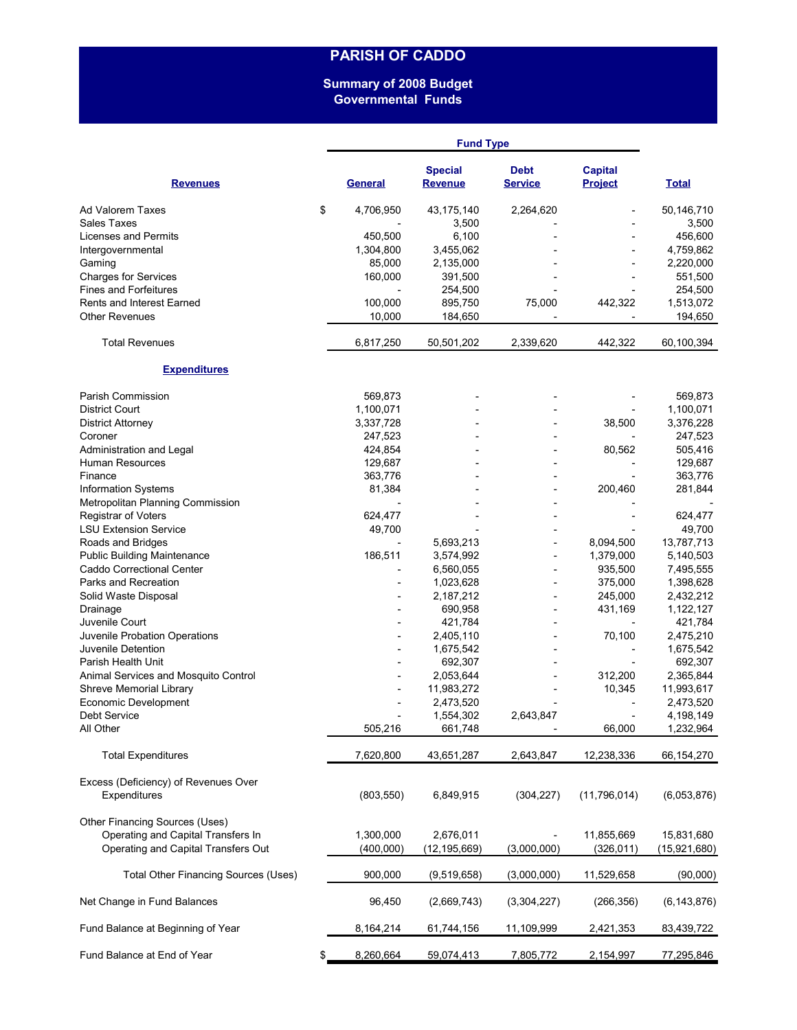# **PARISH OF CADDO**

### **Summary of 2008 Budget Governmental Funds**

|                                      |    | <b>Fund Type</b> |                                  |                          |                                  |               |  |  |
|--------------------------------------|----|------------------|----------------------------------|--------------------------|----------------------------------|---------------|--|--|
| <b>Revenues</b>                      |    | <b>General</b>   | <b>Special</b><br><b>Revenue</b> | Debt<br><b>Service</b>   | <b>Capital</b><br><b>Project</b> | <b>Total</b>  |  |  |
| Ad Valorem Taxes                     | \$ | 4,706,950        | 43,175,140                       | 2,264,620                |                                  | 50,146,710    |  |  |
| <b>Sales Taxes</b>                   |    |                  | 3,500                            |                          |                                  | 3,500         |  |  |
| Licenses and Permits                 |    | 450,500          | 6,100                            |                          |                                  | 456,600       |  |  |
| Intergovernmental                    |    | 1,304,800        | 3,455,062                        |                          |                                  | 4,759,862     |  |  |
| Gaming                               |    | 85,000           | 2,135,000                        |                          |                                  | 2,220,000     |  |  |
| <b>Charges for Services</b>          |    | 160,000          | 391,500                          |                          |                                  | 551,500       |  |  |
| <b>Fines and Forfeitures</b>         |    |                  | 254,500                          |                          |                                  | 254,500       |  |  |
| <b>Rents and Interest Earned</b>     |    | 100,000          | 895,750                          | 75,000                   | 442,322                          | 1,513,072     |  |  |
| <b>Other Revenues</b>                |    | 10,000           | 184,650                          |                          |                                  | 194,650       |  |  |
| <b>Total Revenues</b>                |    | 6,817,250        | 50,501,202                       | 2,339,620                | 442,322                          | 60,100,394    |  |  |
| <b>Expenditures</b>                  |    |                  |                                  |                          |                                  |               |  |  |
| Parish Commission                    |    | 569,873          |                                  |                          |                                  | 569,873       |  |  |
| <b>District Court</b>                |    | 1,100,071        |                                  |                          |                                  | 1,100,071     |  |  |
| <b>District Attorney</b>             |    | 3,337,728        |                                  |                          | 38,500                           | 3,376,228     |  |  |
| Coroner                              |    | 247,523          |                                  |                          |                                  | 247,523       |  |  |
| Administration and Legal             |    | 424,854          |                                  |                          | 80,562                           | 505,416       |  |  |
| Human Resources                      |    | 129,687          |                                  | $\overline{\phantom{0}}$ |                                  | 129,687       |  |  |
| Finance                              |    | 363,776          |                                  |                          |                                  | 363,776       |  |  |
| Information Systems                  |    | 81,384           |                                  |                          | 200,460                          | 281,844       |  |  |
| Metropolitan Planning Commission     |    |                  |                                  |                          |                                  |               |  |  |
| <b>Registrar of Voters</b>           |    | 624,477          |                                  |                          |                                  | 624,477       |  |  |
| <b>LSU Extension Service</b>         |    | 49,700           |                                  |                          |                                  | 49,700        |  |  |
| Roads and Bridges                    |    |                  | 5,693,213                        |                          | 8,094,500                        | 13,787,713    |  |  |
| <b>Public Building Maintenance</b>   |    | 186,511          | 3,574,992                        | $\overline{a}$           | 1,379,000                        | 5,140,503     |  |  |
| Caddo Correctional Center            |    |                  | 6,560,055                        |                          | 935,500                          | 7,495,555     |  |  |
| Parks and Recreation                 |    |                  | 1,023,628                        | $\overline{a}$           | 375,000                          | 1,398,628     |  |  |
| Solid Waste Disposal                 |    |                  | 2,187,212                        | $\overline{\phantom{0}}$ | 245,000                          | 2,432,212     |  |  |
| Drainage                             |    |                  | 690,958                          | $\overline{a}$           | 431,169                          | 1,122,127     |  |  |
| Juvenile Court                       |    |                  | 421,784                          |                          |                                  | 421,784       |  |  |
| Juvenile Probation Operations        |    |                  | 2,405,110                        |                          | 70,100                           | 2,475,210     |  |  |
| Juvenile Detention                   |    |                  | 1,675,542                        |                          | $\overline{\phantom{a}}$         | 1,675,542     |  |  |
| Parish Health Unit                   |    |                  | 692,307                          |                          |                                  | 692,307       |  |  |
| Animal Services and Mosquito Control |    |                  | 2,053,644                        |                          | 312,200                          | 2,365,844     |  |  |
| Shreve Memorial Library              |    |                  | 11,983,272                       |                          | 10,345                           | 11,993,617    |  |  |
| Economic Development                 |    |                  | 2,473,520                        |                          |                                  | 2,473,520     |  |  |
| <b>Debt Service</b>                  |    |                  | 1,554,302                        | 2,643,847                |                                  | 4,198,149     |  |  |
| All Other                            |    | 505,216          | 661,748                          |                          | 66,000                           | 1,232,964     |  |  |
| <b>Total Expenditures</b>            |    | 7,620,800        | 43,651,287                       | 2,643,847                | 12,238,336                       | 66,154,270    |  |  |
| Excess (Deficiency) of Revenues Over |    |                  |                                  |                          |                                  |               |  |  |
| Expenditures                         |    | (803, 550)       | 6,849,915                        | (304, 227)               | (11,796,014)                     | (6,053,876)   |  |  |
| Other Financing Sources (Uses)       |    |                  |                                  |                          |                                  |               |  |  |
| Operating and Capital Transfers In   |    | 1,300,000        | 2,676,011                        |                          | 11,855,669                       | 15,831,680    |  |  |
| Operating and Capital Transfers Out  |    | (400,000)        | (12, 195, 669)                   | (3,000,000)              | (326, 011)                       | (15,921,680)  |  |  |
| Total Other Financing Sources (Uses) |    | 900,000          | (9,519,658)                      | (3,000,000)              | 11,529,658                       | (90,000)      |  |  |
| Net Change in Fund Balances          |    | 96,450           | (2,669,743)                      | (3,304,227)              | (266, 356)                       | (6, 143, 876) |  |  |
| Fund Balance at Beginning of Year    |    | 8,164,214        | 61,744,156                       | 11,109,999               | 2,421,353                        | 83,439,722    |  |  |
| Fund Balance at End of Year          | \$ | 8,260,664        | 59,074,413                       | 7,805,772                | 2,154,997                        | 77,295,846    |  |  |